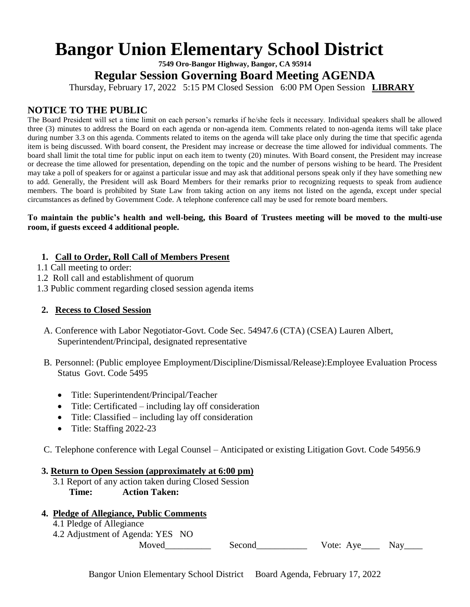# **Bangor Union Elementary School District**

**7549 Oro-Bangor Highway, Bangor, CA 95914**

**Regular Session Governing Board Meeting AGENDA**

Thursday, February 17, 2022 5:15 PM Closed Session 6:00 PM Open Session **LIBRARY**

## **NOTICE TO THE PUBLIC**

The Board President will set a time limit on each person's remarks if he/she feels it necessary. Individual speakers shall be allowed three (3) minutes to address the Board on each agenda or non-agenda item. Comments related to non-agenda items will take place during number 3.3 on this agenda. Comments related to items on the agenda will take place only during the time that specific agenda item is being discussed. With board consent, the President may increase or decrease the time allowed for individual comments. The board shall limit the total time for public input on each item to twenty (20) minutes. With Board consent, the President may increase or decrease the time allowed for presentation, depending on the topic and the number of persons wishing to be heard. The President may take a poll of speakers for or against a particular issue and may ask that additional persons speak only if they have something new to add. Generally, the President will ask Board Members for their remarks prior to recognizing requests to speak from audience members. The board is prohibited by State Law from taking action on any items not listed on the agenda, except under special circumstances as defined by Government Code. A telephone conference call may be used for remote board members.

#### **To maintain the public's health and well-being, this Board of Trustees meeting will be moved to the multi-use room, if guests exceed 4 additional people.**

#### **1. Call to Order, Roll Call of Members Present**

- 1.1 Call meeting to order:
- 1.2 Roll call and establishment of quorum
- 1.3 Public comment regarding closed session agenda items

#### **2. Recess to Closed Session**

- A. Conference with Labor Negotiator-Govt. Code Sec. 54947.6 (CTA) (CSEA) Lauren Albert, Superintendent/Principal, designated representative
- B. Personnel: (Public employee Employment/Discipline/Dismissal/Release):Employee Evaluation Process Status Govt. Code 5495
	- Title: Superintendent/Principal/Teacher
	- Title: Certificated including lay off consideration
	- Title: Classified including lay off consideration
	- Title: Staffing 2022-23
- C. Telephone conference with Legal Counsel Anticipated or existing Litigation Govt. Code 54956.9

#### **3. Return to Open Session (approximately at 6:00 pm)**

 3.1 Report of any action taken during Closed Session **Time: Action Taken:** 

#### **4. Pledge of Allegiance, Public Comments**

- 4.1 Pledge of Allegiance
- 4.2 Adjustment of Agenda: YES NO

Moved\_\_\_\_\_\_\_\_\_\_ Second\_\_\_\_\_\_\_\_\_\_\_ Vote: Aye\_\_\_\_ Nay\_\_\_\_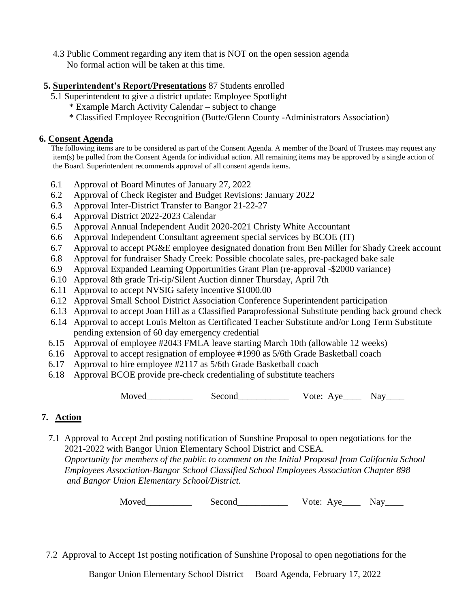4.3 Public Comment regarding any item that is NOT on the open session agenda No formal action will be taken at this time.

## **5. Superintendent's Report/Presentations** 87 Students enrolled

- 5.1 Superintendent to give a district update: Employee Spotlight
	- \* Example March Activity Calendar subject to change
	- \* Classified Employee Recognition (Butte/Glenn County -Administrators Association)

## **6. Consent Agenda**

 The following items are to be considered as part of the Consent Agenda. A member of the Board of Trustees may request any item(s) be pulled from the Consent Agenda for individual action. All remaining items may be approved by a single action of the Board. Superintendent recommends approval of all consent agenda items.

- 6.1 Approval of Board Minutes of January 27, 2022
- 6.2 Approval of Check Register and Budget Revisions: January 2022
- 6.3 Approval Inter-District Transfer to Bangor 21-22-27
- 6.4 Approval District 2022-2023 Calendar
- 6.5 Approval Annual Independent Audit 2020-2021 Christy White Accountant
- 6.6 Approval Independent Consultant agreement special services by BCOE (IT)
- 6.7 Approval to accept PG&E employee designated donation from Ben Miller for Shady Creek account
- 6.8 Approval for fundraiser Shady Creek: Possible chocolate sales, pre-packaged bake sale
- 6.9 Approval Expanded Learning Opportunities Grant Plan (re-approval -\$2000 variance)
- 6.10 Approval 8th grade Tri-tip/Silent Auction dinner Thursday, April 7th
- 6.11 Approval to accept NVSIG safety incentive \$1000.00
- 6.12 Approval Small School District Association Conference Superintendent participation
- 6.13 Approval to accept Joan Hill as a Classified Paraprofessional Substitute pending back ground check
- 6.14 Approval to accept Louis Melton as Certificated Teacher Substitute and/or Long Term Substitute pending extension of 60 day emergency credential
- 6.15 Approval of employee #2043 FMLA leave starting March 10th (allowable 12 weeks)
- 6.16 Approval to accept resignation of employee #1990 as 5/6th Grade Basketball coach
- 6.17 Approval to hire employee #2117 as 5/6th Grade Basketball coach
- 6.18 Approval BCOE provide pre-check credentialing of substitute teachers

Moved\_\_\_\_\_\_\_\_\_\_ Second\_\_\_\_\_\_\_\_\_\_\_ Vote: Aye\_\_\_\_ Nay\_\_\_\_

## **7. Action**

 7.1 Approval to Accept 2nd posting notification of Sunshine Proposal to open negotiations for the 2021-2022 with Bangor Union Elementary School District and CSEA.

 *Opportunity for members of the public to comment on the Initial Proposal from California School Employees Association-Bangor School Classified School Employees Association Chapter 898 and Bangor Union Elementary School/District.* 

Moved\_\_\_\_\_\_\_\_\_\_ Second\_\_\_\_\_\_\_\_\_\_\_ Vote: Aye\_\_\_\_ Nay\_\_\_\_

7.2 Approval to Accept 1st posting notification of Sunshine Proposal to open negotiations for the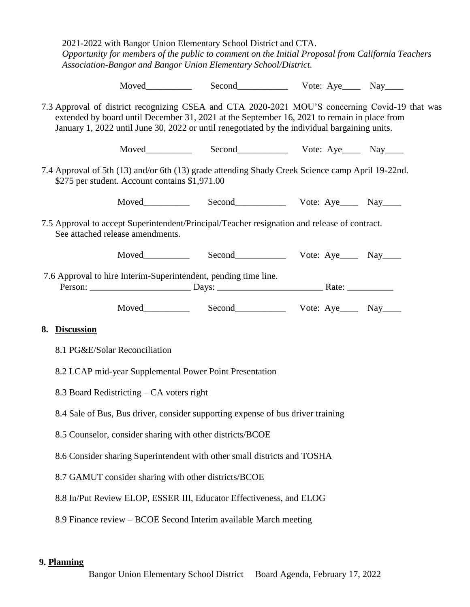2021-2022 with Bangor Union Elementary School District and CTA.  *Opportunity for members of the public to comment on the Initial Proposal from California Teachers Association-Bangor and Bangor Union Elementary School/District.* 

Moved Second Vote: Aye Nay

7.3 Approval of district recognizing CSEA and CTA 2020-2021 MOU'S concerning Covid-19 that was extended by board until December 31, 2021 at the September 16, 2021 to remain in place from January 1, 2022 until June 30, 2022 or until renegotiated by the individual bargaining units.

Moved Second Vote: Aye Nay

7.4 Approval of 5th (13) and/or 6th (13) grade attending Shady Creek Science camp April 19-22nd. \$275 per student. Account contains \$1,971.00

Moved\_\_\_\_\_\_\_\_\_\_ Second\_\_\_\_\_\_\_\_\_\_\_ Vote: Aye\_\_\_\_ Nay\_\_\_\_

7.5 Approval to accept Superintendent/Principal/Teacher resignation and release of contract. See attached release amendments.

Moved\_\_\_\_\_\_\_\_\_\_ Second\_\_\_\_\_\_\_\_\_\_\_ Vote: Aye\_\_\_\_ Nay\_\_\_\_

 7.6 Approval to hire Interim-Superintendent, pending time line. Person: \_\_\_\_\_\_\_\_\_\_\_\_\_\_\_\_\_\_\_\_\_\_ Days: \_\_\_\_\_\_\_\_\_\_\_\_\_\_\_\_\_\_\_\_\_\_\_ Rate: \_\_\_\_\_\_\_\_\_\_

Moved Second Vote: Aye Nay

#### **8. Discussion**

- 8.1 PG&E/Solar Reconciliation
- 8.2 LCAP mid-year Supplemental Power Point Presentation
- 8.3 Board Redistricting CA voters right
- 8.4 Sale of Bus, Bus driver, consider supporting expense of bus driver training
- 8.5 Counselor, consider sharing with other districts/BCOE
- 8.6 Consider sharing Superintendent with other small districts and TOSHA
- 8.7 GAMUT consider sharing with other districts/BCOE
- 8.8 In/Put Review ELOP, ESSER III, Educator Effectiveness, and ELOG
- 8.9 Finance review BCOE Second Interim available March meeting

#### **9. Planning**